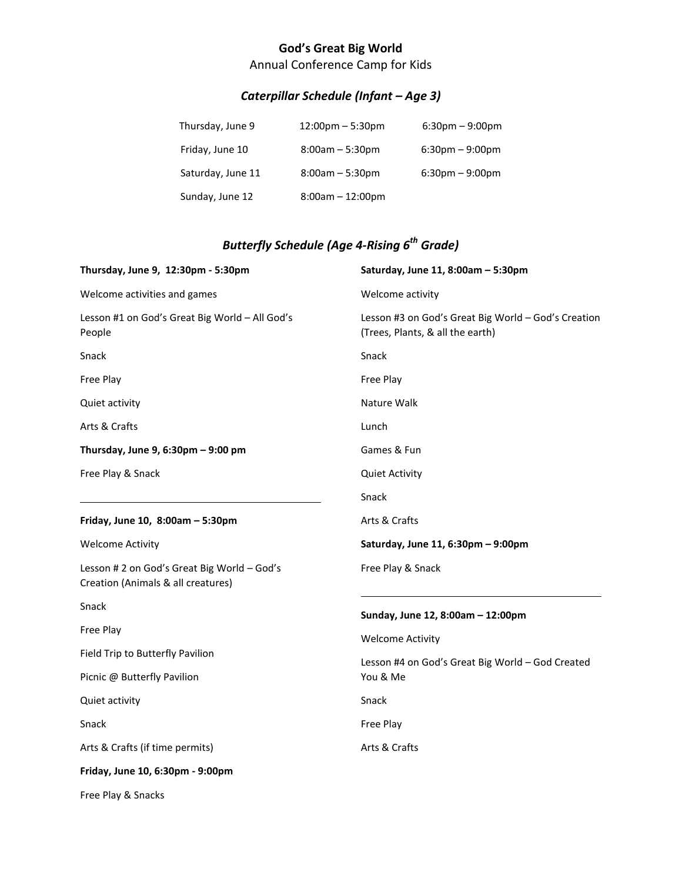## **God's Great Big World**

Annual Conference Camp for Kids

## *Caterpillar Schedule (Infant – Age 3)*

| Thursday, June 9  | $12:00 \text{pm} - 5:30 \text{pm}$ | $6:30 \text{pm} - 9:00 \text{pm}$ |
|-------------------|------------------------------------|-----------------------------------|
| Friday, June 10   | $8:00am - 5:30pm$                  | $6:30$ pm – 9:00pm                |
| Saturday, June 11 | $8:00am - 5:30pm$                  | $6:30$ pm – 9:00pm                |
| Sunday, June 12   | $8:00am - 12:00pm$                 |                                   |

## *Butterfly Schedule (Age 4-Rising 6th Grade)*

| Thursday, June 9, 12:30pm - 5:30pm                                                | Saturday, June 11, 8:00am - 5:30pm                                                      |  |
|-----------------------------------------------------------------------------------|-----------------------------------------------------------------------------------------|--|
| Welcome activities and games                                                      | Welcome activity                                                                        |  |
| Lesson #1 on God's Great Big World - All God's<br>People                          | Lesson #3 on God's Great Big World - God's Creation<br>(Trees, Plants, & all the earth) |  |
| Snack                                                                             | Snack                                                                                   |  |
| Free Play                                                                         | Free Play                                                                               |  |
| Quiet activity                                                                    | Nature Walk                                                                             |  |
| Arts & Crafts                                                                     | Lunch                                                                                   |  |
| Thursday, June 9, 6:30pm - 9:00 pm                                                | Games & Fun                                                                             |  |
| Free Play & Snack                                                                 | <b>Quiet Activity</b>                                                                   |  |
|                                                                                   | Snack                                                                                   |  |
| Friday, June 10, 8:00am - 5:30pm                                                  | Arts & Crafts                                                                           |  |
| <b>Welcome Activity</b>                                                           | Saturday, June 11, 6:30pm - 9:00pm                                                      |  |
| Lesson # 2 on God's Great Big World - God's<br>Creation (Animals & all creatures) | Free Play & Snack                                                                       |  |
| Snack                                                                             | Sunday, June 12, 8:00am - 12:00pm                                                       |  |
| Free Play                                                                         | <b>Welcome Activity</b>                                                                 |  |
| Field Trip to Butterfly Pavilion                                                  | Lesson #4 on God's Great Big World - God Created                                        |  |
| Picnic @ Butterfly Pavilion                                                       | You & Me                                                                                |  |
| Quiet activity                                                                    | Snack                                                                                   |  |
| Snack                                                                             | Free Play                                                                               |  |
| Arts & Crafts (if time permits)                                                   | Arts & Crafts                                                                           |  |
| Friday, June 10, 6:30pm - 9:00pm                                                  |                                                                                         |  |

Free Play & Snacks